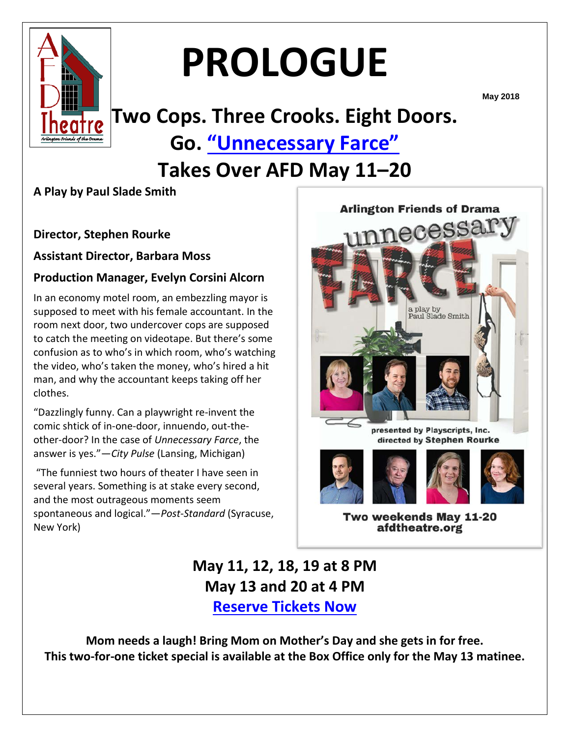

# **PROLOGUE**

**May 2018**

# **Two Cops. Three Crooks. Eight Doors. Go. ["Unnecessary Farce"](https://www.afdtheatre.org/up-next)**

## **Takes Over AFD May 11–20**

### **A Play by Paul Slade Smith**

#### **Director, Stephen Rourke**

**Assistant Director, Barbara Moss**

#### **Production Manager, Evelyn Corsini Alcorn**

In an economy motel room, an embezzling mayor is supposed to meet with his female accountant. In the room next door, two undercover cops are supposed to catch the meeting on videotape. But there's some confusion as to who's in which room, who's watching the video, who's taken the money, who's hired a hit man, and why the accountant keeps taking off her clothes.

"Dazzlingly funny. Can a playwright re-invent the comic shtick of in-one-door, innuendo, out-theother-door? In the case of *Unnecessary Farce*, the answer is yes."—*City Pulse* (Lansing, Michigan)

"The funniest two hours of theater I have seen in several years. Something is at stake every second, and the most outrageous moments seem spontaneous and logical."—*Post-Standard* (Syracuse, New York)



Two weekends May 11-20 afdtheatre.org

### **May 11, 12, 18, 19 at 8 PM May 13 and 20 at 4 PM [Reserve Tickets Now](https://www.ticketstage.com/T/AFD)**

**Mom needs a laugh! Bring Mom on Mother's Day and she gets in for free. This two-for-one ticket special is available at the Box Office only for the May 13 matinee.**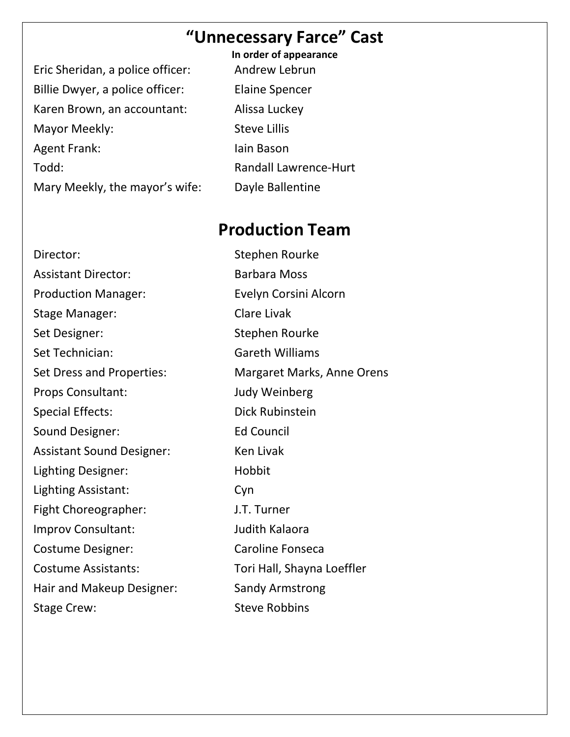### **"Unnecessary Farce" Cast**

Eric Sheridan, a police officer: Andrew Lebrun Billie Dwyer, a police officer: Elaine Spencer Karen Brown, an accountant: Alissa Luckey Mayor Meekly: Steve Lillis Agent Frank: Iain Bason Todd: Randall Lawrence-Hurt Mary Meekly, the mayor's wife: Dayle Ballentine

**In order of appearance**

### **Production Team**

Director: Stephen Rourke Assistant Director: Barbara Moss Production Manager: Evelyn Corsini Alcorn Stage Manager: Clare Livak Set Designer: Stephen Rourke Set Technician: Gareth Williams Set Dress and Properties: Margaret Marks, Anne Orens Props Consultant: Judy Weinberg Special Effects: Dick Rubinstein Sound Designer: Ed Council Assistant Sound Designer: Ken Livak Lighting Designer: Hobbit Lighting Assistant: Cyn Fight Choreographer: J.T. Turner Improv Consultant: Judith Kalaora Costume Designer: Caroline Fonseca Costume Assistants: Tori Hall, Shayna Loeffler Hair and Makeup Designer: Sandy Armstrong Stage Crew: Stage Crew: Steve Robbins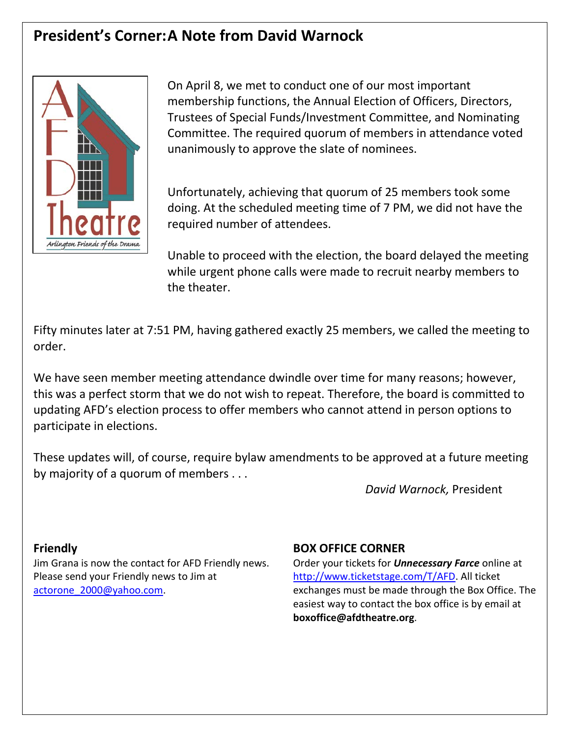### **President's Corner:A Note from David Warnock**



On April 8, we met to conduct one of our most important membership functions, the Annual Election of Officers, Directors, Trustees of Special Funds/Investment Committee, and Nominating Committee. The required quorum of members in attendance voted unanimously to approve the slate of nominees.

Unfortunately, achieving that quorum of 25 members took some doing. At the scheduled meeting time of 7 PM, we did not have the required number of attendees.

Unable to proceed with the election, the board delayed the meeting while urgent phone calls were made to recruit nearby members to the theater.

Fifty minutes later at 7:51 PM, having gathered exactly 25 members, we called the meeting to order.

We have seen member meeting attendance dwindle over time for many reasons; however, this was a perfect storm that we do not wish to repeat. Therefore, the board is committed to updating AFD's election process to offer members who cannot attend in person options to participate in elections.

These updates will, of course, require bylaw amendments to be approved at a future meeting by majority of a quorum of members . . .

*David Warnock,* President

#### **Friendly**

Jim Grana is now the contact for AFD Friendly news. Please send your Friendly news to Jim at [actorone\\_2000@yahoo.com.](mailto:actorone_2000@yahoo.com)

#### **BOX OFFICE CORNER**

Order your tickets for *Unnecessary Farce* online at [http://www.ticketstage.com/T/AFD.](http://www.ticketstage.com/T/AFD) All ticket exchanges must be made through the Box Office. The easiest way to contact the box office is by email at **boxoffice@afdtheatre.org**.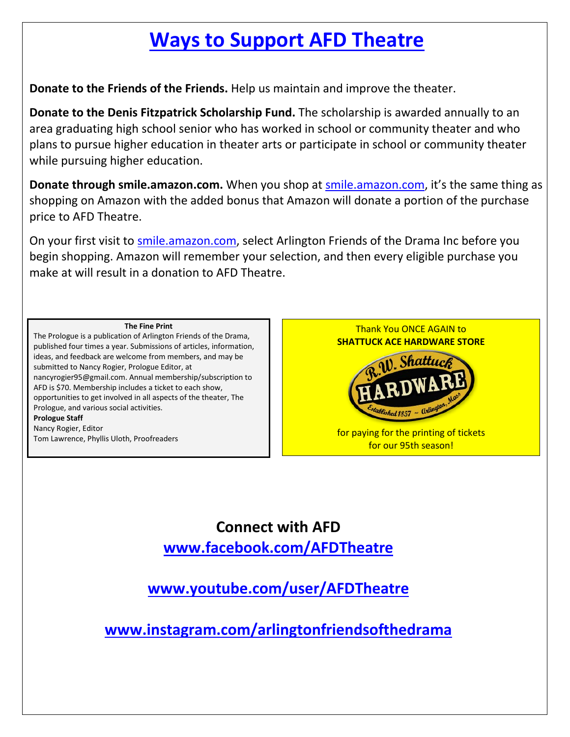# **[Ways to Support](https://www.afdtheatre.org/donate) AFD Theatre**

**Donate to the Friends of the Friends.** Help us maintain and improve the theater.

**Donate to the Denis Fitzpatrick Scholarship Fund.** The scholarship is awarded annually to an area graduating high school senior who has worked in school or community theater and who plans to pursue higher education in theater arts or participate in school or community theater while pursuing higher education.

**Donate through smile.amazon.com.** When you shop at [smile.amazon.com,](https://smile.amazon.com/) it's the same thing as shopping on Amazon with the added bonus that Amazon will donate a portion of the purchase price to AFD Theatre.

On your first visit to [smile.amazon.com,](https://smile.amazon.com/) select Arlington Friends of the Drama Inc before you begin shopping. Amazon will remember your selection, and then every eligible purchase you make at will result in a donation to AFD Theatre.

#### **The Fine Print**

The Prologue is a publication of Arlington Friends of the Drama, published four times a year. Submissions of articles, information, ideas, and feedback are welcome from members, and may be submitted to Nancy Rogier, Prologue Editor, at nancyrogier95@gmail.com. Annual membership/subscription to AFD is \$70. Membership includes a ticket to each show, opportunities to get involved in all aspects of the theater, The Prologue, and various social activities. **Prologue Staff** Nancy Rogier, Editor Tom Lawrence, Phyllis Uloth, Proofreaders





for paying for the printing of tickets for our 95th season!

**Connect with AFD www.facebook.com/AFDTheatre**

**www.youtube.com/user/AFDTheatre**

**www.instagram.com/arlingtonfriendsofthedrama**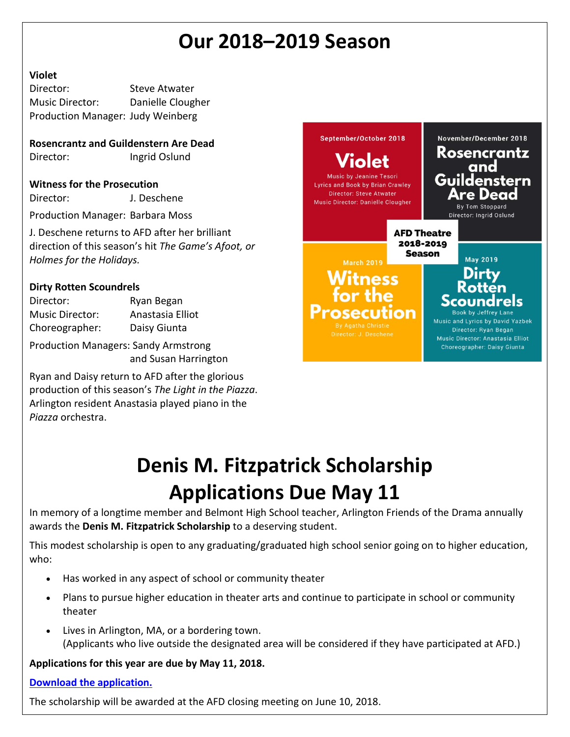# **Our 2018–2019 Season**

#### **Violet**

Director: Steve Atwater Music Director: Danielle Clougher Production Manager: Judy Weinberg

**Rosencrantz and Guildenstern Are Dead** Director: Ingrid Oslund

#### **Witness for the Prosecution**

Director: J. Deschene

Production Manager: Barbara Moss

J. Deschene returns to AFD after her brilliant direction of this season's hit *The Game's Afoot, or Holmes for the Holidays.*

#### **Dirty Rotten Scoundrels**

Director: Ryan Began Music Director: Anastasia Elliot Choreographer: Daisy Giunta

Production Managers: Sandy Armstrong and Susan Harrington

Ryan and Daisy return to AFD after the glorious production of this season's *The Light in the Piazza*. Arlington resident Anastasia played piano in the *Piazza* orchestra.



# **Denis M. Fitzpatrick Scholarship Applications Due May 11**

In memory of a longtime member and Belmont High School teacher, Arlington Friends of the Drama annually awards the **Denis M. Fitzpatrick Scholarship** to a deserving student.

This modest scholarship is open to any graduating/graduated high school senior going on to higher education, who:

- Has worked in any aspect of school or community theater
- Plans to pursue higher education in theater arts and continue to participate in school or community theater
- Lives in Arlington, MA, or a bordering town. (Applicants who live outside the designated area will be considered if they have participated at AFD.)

**Applications for this year are due by May 11, 2018.** 

#### **[Download the application.](https://docs.wixstatic.com/ugd/28e0aa_228be463e05e478d9d5b626dde6636d8.docx?dn=Scholarship%20Application%202018_draft%204_logo.docx)**

The scholarship will be awarded at the AFD closing meeting on June 10, 2018.